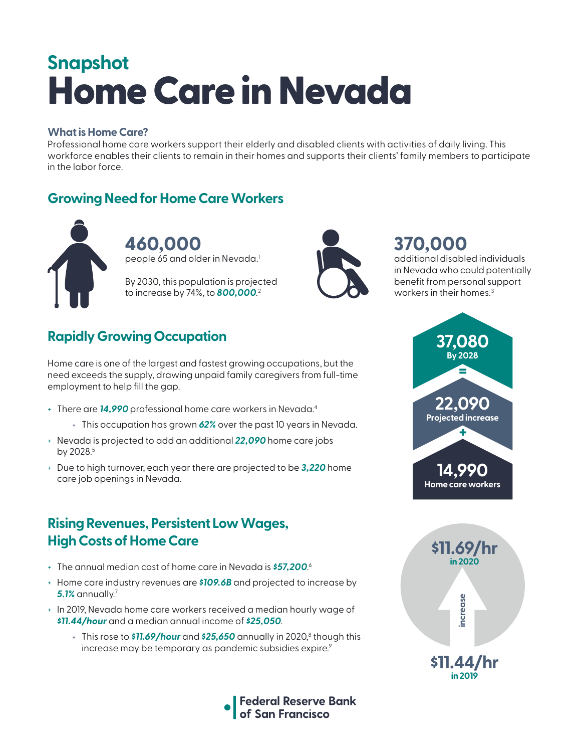# Home Care in Nevada **Snapshot**

#### **What is Home Care?**

Professional home care workers support their elderly and disabled clients with activities of daily living. This workforce enables their clients to remain in their homes and supports their clients' family members to participate in the labor force.

### **Growing Need for Home Care Workers**



**460,000**  people 65 and older in Nevada.<sup>1</sup>

By 2030, this population is projected to increase by 74%, to *800,000*. 2



# **370,000**

additional disabled individuals in Nevada who could potentially benefit from personal support workers in their homes.<sup>3</sup>

# **Rapidly Growing Occupation**

Home care is one of the largest and fastest growing occupations, but the need exceeds the supply, drawing unpaid family caregivers from full-time employment to help fill the gap.

- + There are *14,990* professional home care workers in Nevada.4
	- + This occupation has grown *62%* over the past 10 years in Nevada.
- + Nevada is projected to add an additional *22,090* home care jobs by 2028.<sup>5</sup>
- + Due to high turnover, each year there are projected to be *3,220* home care job openings in Nevada.

#### **Rising Revenues, Persistent Low Wages, High Costs of Home Care**

- + The annual median cost of home care in Nevada is *\$57,200*. 6
- + Home care industry revenues are *\$109.6B* and projected to increase by *5.1%* annually.7
- + In 2019, Nevada home care workers received a median hourly wage of *\$11.44/hour* and a median annual income of *\$25,050*.
	- + This rose to **\$11.69/hour** and **\$25,650** annually in 2020,<sup>8</sup> though this increase may be temporary as pandemic subsidies expire.<sup>9</sup>





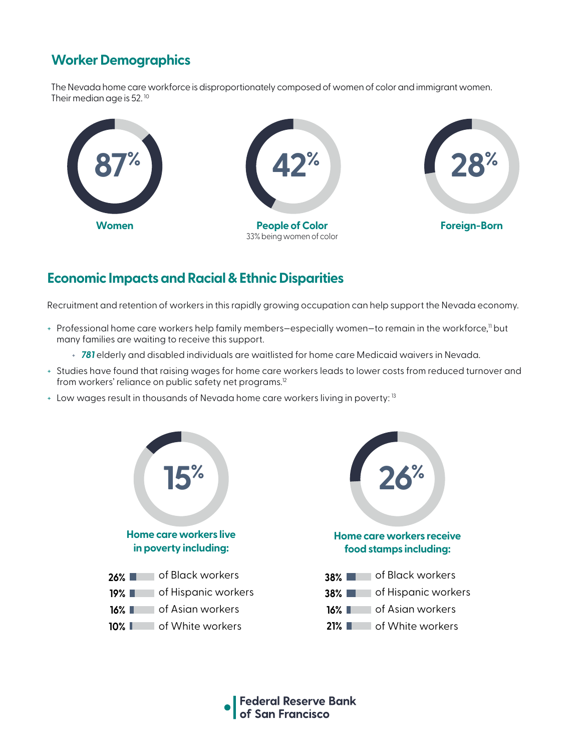## **Worker Demographics**

The Nevada home care workforce is disproportionately composed of women of color and immigrant women. Their median age is 52.<sup>10</sup>



#### **Economic Impacts and Racial & Ethnic Disparities**

Recruitment and retention of workers in this rapidly growing occupation can help support the Nevada economy.

- + Professional home care workers help family members–especially women–to remain in the workforce,<sup>11</sup> but many families are waiting to receive this support.
	- + *781* elderly and disabled individuals are waitlisted for home care Medicaid waivers in Nevada.
- + Studies have found that raising wages for home care workers leads to lower costs from reduced turnover and from workers' reliance on public safety net programs.<sup>12</sup>
- + Low wages result in thousands of Nevada home care workers living in poverty: <sup>13</sup>